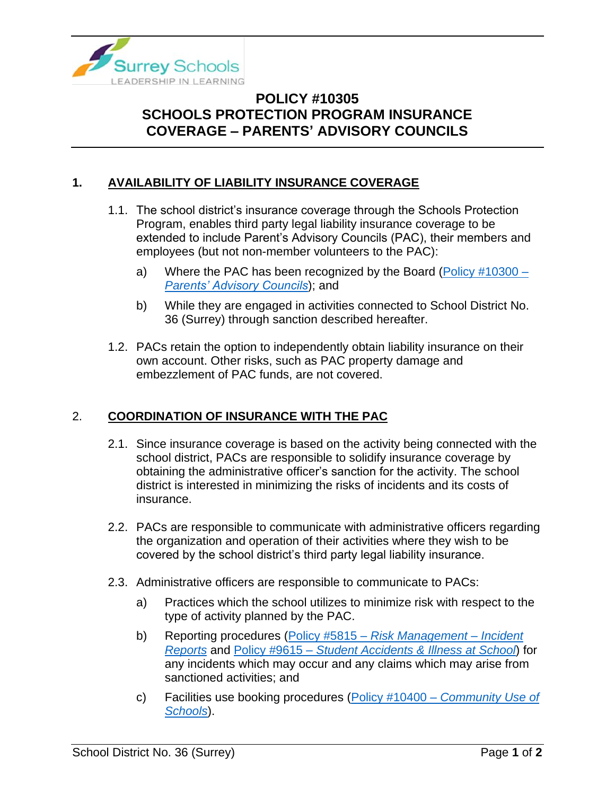

## **POLICY #10305 SCHOOLS PROTECTION PROGRAM INSURANCE COVERAGE – PARENTS' ADVISORY COUNCILS**

## **1. AVAILABILITY OF LIABILITY INSURANCE COVERAGE**

- 1.1. The school district's insurance coverage through the Schools Protection Program, enables third party legal liability insurance coverage to be extended to include Parent's Advisory Councils (PAC), their members and employees (but not non-member volunteers to the PAC):
	- a) Where the PAC has been recognized by the Board (Policy  $\#10300 -$ *[Parents' Advisory Councils](https://www.surreyschools.ca/departments/SECT/PoliciesRegulations/section_10000/Documents/10300%20Policy.pdf)*); and
	- b) While they are engaged in activities connected to School District No. 36 (Surrey) through sanction described hereafter.
- 1.2. PACs retain the option to independently obtain liability insurance on their own account. Other risks, such as PAC property damage and embezzlement of PAC funds, are not covered.

## 2. **COORDINATION OF INSURANCE WITH THE PAC**

- 2.1. Since insurance coverage is based on the activity being connected with the school district, PACs are responsible to solidify insurance coverage by obtaining the administrative officer's sanction for the activity. The school district is interested in minimizing the risks of incidents and its costs of insurance.
- 2.2. PACs are responsible to communicate with administrative officers regarding the organization and operation of their activities where they wish to be covered by the school district's third party legal liability insurance.
- 2.3. Administrative officers are responsible to communicate to PACs:
	- a) Practices which the school utilizes to minimize risk with respect to the type of activity planned by the PAC.
	- b) Reporting procedures (Policy #5815 *[Risk Management –](https://www.surreyschools.ca/departments/SECT/PoliciesRegulations/section_5000/Documents/5815%20Policy.pdf) Incident [Reports](https://www.surreyschools.ca/departments/SECT/PoliciesRegulations/section_5000/Documents/5815%20Policy.pdf)* and Policy #9615 – *[Student Accidents & Illness at School](https://www.surreyschools.ca/departments/SECT/PoliciesRegulations/section_9000/Documents/9615%20Policy.pdf)*) for any incidents which may occur and any claims which may arise from sanctioned activities; and
	- c) Facilities use booking procedures (Policy #10400 *[Community Use of](https://www.surreyschools.ca/departments/SECT/PoliciesRegulations/section_10000/Documents/10400%20Policy.pdf)  [Schools](https://www.surreyschools.ca/departments/SECT/PoliciesRegulations/section_10000/Documents/10400%20Policy.pdf)*).